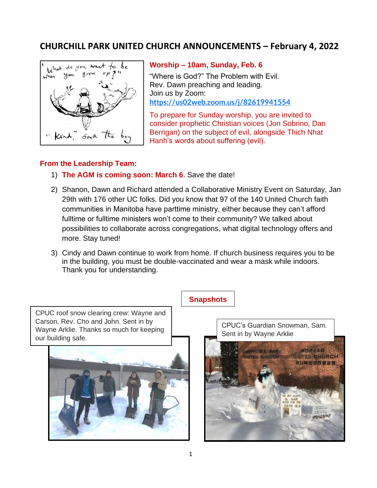## **CHURCHILL PARK UNITED CHURCH ANNOUNCEMENTS – February 4, 2022**



## **Worship – 10am, Sunday, Feb. 6**

"Where is God?" The Problem with Evil. Rev. Dawn preaching and leading. Join us by Zoom: **<https://us02web.zoom.us/j/82619941554>**

To prepare for Sunday worship, you are invited to consider prophetic Christian voices (Jon Sobrino, Dan Berrigan) on the subject of evil, alongside Thich Nhat Hanh's words about suffering (evil).

## **From the Leadership Team:**

- 1) **The AGM is coming soon: March 6**. Save the date!
- 2) Shanon, Dawn and Richard attended a Collaborative Ministry Event on Saturday, Jan 29th with 176 other UC folks. Did you know that 97 of the 140 United Church faith communities in Manitoba have parttime ministry, either because they can't afford fulltime or fulltime ministers won't come to their community? We talked about possibilities to collaborate across congregations, what digital technology offers and more. Stay tuned!
- 3) Cindy and Dawn continue to work from home. If church business requires you to be in the building, you must be double-vaccinated and wear a mask while indoors. Thank you for understanding.

CPUC roof snow clearing crew: Wayne and Carson, Rev. Cho and John. Sent in by Wayne Arklie. Thanks so much for keeping our building safe.



**Snapshots**

CPUC's Guardian Snowman, Sam. Sent in by Wayne Arklie